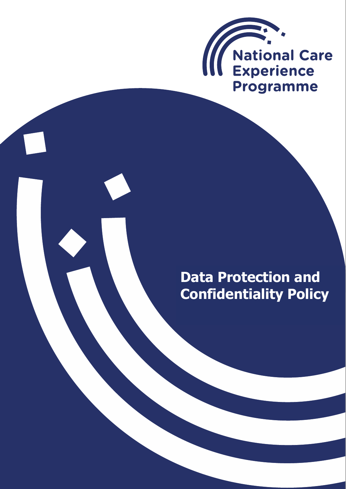

# **Data Protection and Confidentiality Policy**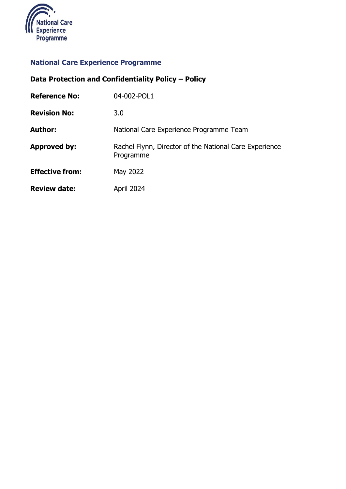

## **National Care Experience Programme**

# **Data Protection and Confidentiality Policy – Policy**

| <b>Reference No:</b>   | 04-002-POL1                                                         |
|------------------------|---------------------------------------------------------------------|
| <b>Revision No:</b>    | 3.0                                                                 |
| <b>Author:</b>         | National Care Experience Programme Team                             |
| <b>Approved by:</b>    | Rachel Flynn, Director of the National Care Experience<br>Programme |
| <b>Effective from:</b> | May 2022                                                            |
| <b>Review date:</b>    | April 2024                                                          |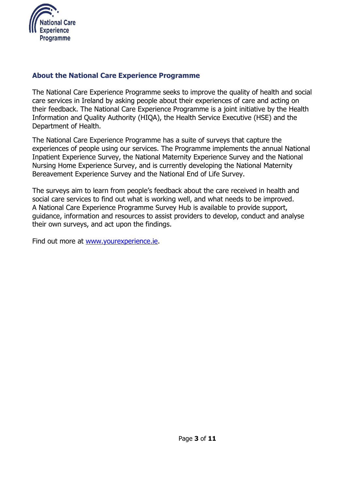

#### **About the National Care Experience Programme**

The National Care Experience Programme seeks to improve the quality of health and social care services in Ireland by asking people about their experiences of care and acting on their feedback. The National Care Experience Programme is a joint initiative by the Health Information and Quality Authority (HIQA), the Health Service Executive (HSE) and the Department of Health.

The National Care Experience Programme has a suite of surveys that capture the experiences of people using our services. The Programme implements the annual National Inpatient Experience Survey, the National Maternity Experience Survey and the National Nursing Home Experience Survey, and is currently developing the National Maternity Bereavement Experience Survey and the National End of Life Survey.

The surveys aim to learn from people's feedback about the care received in health and social care services to find out what is working well, and what needs to be improved. A National Care Experience Programme Survey Hub is available to provide support, guidance, information and resources to assist providers to develop, conduct and analyse their own surveys, and act upon the findings.

Find out more at [www.yourexperience.ie.](http://www.yourexperience.ie/)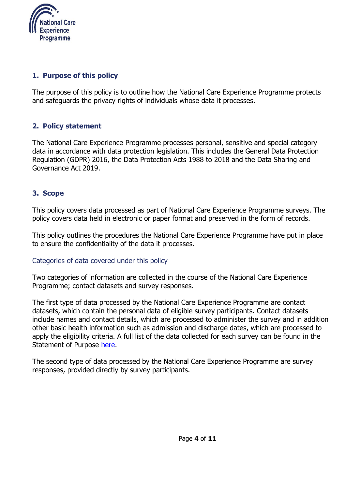

#### **1. Purpose of this policy**

The purpose of this policy is to outline how the National Care Experience Programme protects and safeguards the privacy rights of individuals whose data it processes.

#### **2. Policy statement**

The National Care Experience Programme processes personal, sensitive and special category data in accordance with data protection legislation. This includes the General Data Protection Regulation (GDPR) 2016, the Data Protection Acts 1988 to 2018 and the Data Sharing and Governance Act 2019.

#### **3. Scope**

This policy covers data processed as part of National Care Experience Programme surveys. The policy covers data held in electronic or paper format and preserved in the form of records.

This policy outlines the procedures the National Care Experience Programme have put in place to ensure the confidentiality of the data it processes.

#### Categories of data covered under this policy

Two categories of information are collected in the course of the National Care Experience Programme; contact datasets and survey responses.

The first type of data processed by the National Care Experience Programme are contact datasets, which contain the personal data of eligible survey participants. Contact datasets include names and contact details, which are processed to administer the survey and in addition other basic health information such as admission and discharge dates, which are processed to apply the eligibility criteria. A full list of the data collected for each survey can be found in the Statement of Purpose [here.](https://yourexperience.ie/about/information-governance/)

The second type of data processed by the National Care Experience Programme are survey responses, provided directly by survey participants.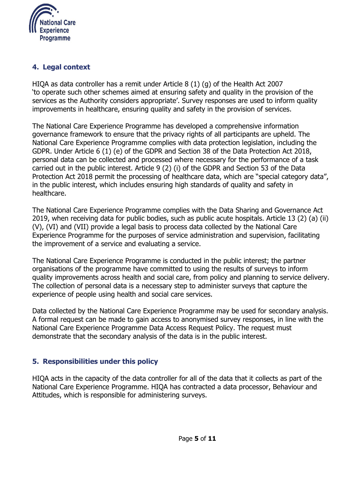

#### **4. Legal context**

HIQA as data controller has a remit under Article 8 (1) (g) of the Health Act 2007 'to operate such other schemes aimed at ensuring safety and quality in the provision of the services as the Authority considers appropriate'. Survey responses are used to inform quality improvements in healthcare, ensuring quality and safety in the provision of services.

The National Care Experience Programme has developed a comprehensive information governance framework to ensure that the privacy rights of all participants are upheld. The National Care Experience Programme complies with data protection legislation, including the GDPR. Under Article 6 (1) (e) of the GDPR and Section 38 of the Data Protection Act 2018, personal data can be collected and processed where necessary for the performance of a task carried out in the public interest. Article 9 (2) (i) of the GDPR and Section 53 of the Data Protection Act 2018 permit the processing of healthcare data, which are "special category data", in the public interest, which includes ensuring high standards of quality and safety in healthcare.

The National Care Experience Programme complies with the Data Sharing and Governance Act 2019, when receiving data for public bodies, such as public acute hospitals. Article 13 (2) (a) (ii) (V), (VI) and (VII) provide a legal basis to process data collected by the National Care Experience Programme for the purposes of service administration and supervision, facilitating the improvement of a service and evaluating a service.

The National Care Experience Programme is conducted in the public interest; the partner organisations of the programme have committed to using the results of surveys to inform quality improvements across health and social care, from policy and planning to service delivery. The collection of personal data is a necessary step to administer surveys that capture the experience of people using health and social care services.

Data collected by the National Care Experience Programme may be used for secondary analysis. A formal request can be made to gain access to anonymised survey responses, in line with the National Care Experience Programme Data Access Request Policy. The request must demonstrate that the secondary analysis of the data is in the public interest.

#### **5. Responsibilities under this policy**

HIQA acts in the capacity of the data controller for all of the data that it collects as part of the National Care Experience Programme. HIQA has contracted a data processor, Behaviour and Attitudes, which is responsible for administering surveys.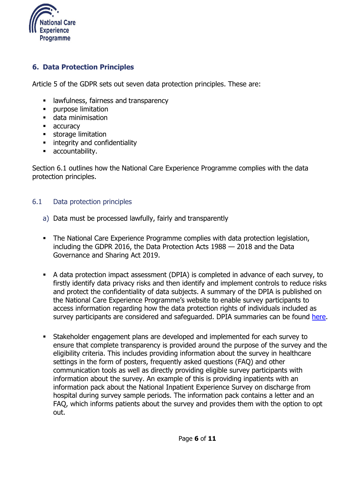

#### **6. Data Protection Principles**

Article 5 of the GDPR sets out seven data protection principles. These are:

- **EXPLOM** 1 awfulness, fairness and transparency
- **•** purpose limitation
- **data minimisation**
- **accuracy**
- **storage limitation**
- **EXECUTE:** integrity and confidentiality
- **accountability.**

Section 6.1 outlines how the National Care Experience Programme complies with the data protection principles.

#### 6.1 Data protection principles

- a) Data must be processed lawfully, fairly and transparently
- The National Care Experience Programme complies with data protection legislation, including the GDPR 2016, the Data Protection Acts 1988 — 2018 and the Data Governance and Sharing Act 2019.
- A data protection impact assessment (DPIA) is completed in advance of each survey, to firstly identify data privacy risks and then identify and implement controls to reduce risks and protect the confidentiality of data subjects. A summary of the DPIA is published on the National Care Experience Programme's website to enable survey participants to access information regarding how the data protection rights of individuals included as survey participants are considered and safeguarded. DPIA summaries can be found [here.](https://yourexperience.ie/about/information-governance/)
- Stakeholder engagement plans are developed and implemented for each survey to ensure that complete transparency is provided around the purpose of the survey and the eligibility criteria. This includes providing information about the survey in healthcare settings in the form of posters, frequently asked questions (FAQ) and other communication tools as well as directly providing eligible survey participants with information about the survey. An example of this is providing inpatients with an information pack about the National Inpatient Experience Survey on discharge from hospital during survey sample periods. The information pack contains a letter and an FAQ, which informs patients about the survey and provides them with the option to opt out.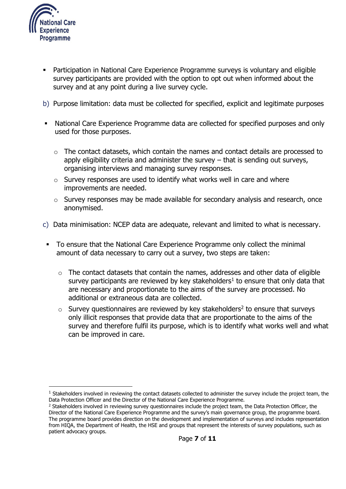

 $\overline{a}$ 

- Participation in National Care Experience Programme surveys is voluntary and eligible survey participants are provided with the option to opt out when informed about the survey and at any point during a live survey cycle.
- b) Purpose limitation: data must be collected for specified, explicit and legitimate purposes
- National Care Experience Programme data are collected for specified purposes and only used for those purposes.
	- o The contact datasets, which contain the names and contact details are processed to apply eligibility criteria and administer the survey – that is sending out surveys, organising interviews and managing survey responses.
	- o Survey responses are used to identify what works well in care and where improvements are needed.
	- o Survey responses may be made available for secondary analysis and research, once anonymised.
- c) Data minimisation: NCEP data are adequate, relevant and limited to what is necessary.
- To ensure that the National Care Experience Programme only collect the minimal amount of data necessary to carry out a survey, two steps are taken:
	- $\circ$  The contact datasets that contain the names, addresses and other data of eligible survey participants are reviewed by key stakeholders<sup>1</sup> to ensure that only data that are necessary and proportionate to the aims of the survey are processed. No additional or extraneous data are collected.
	- $\circ$  Survey questionnaires are reviewed by key stakeholders<sup>2</sup> to ensure that surveys only illicit responses that provide data that are proportionate to the aims of the survey and therefore fulfil its purpose, which is to identify what works well and what can be improved in care.

 $<sup>1</sup>$  Stakeholders involved in reviewing the contact datasets collected to administer the survey include the project team, the</sup> Data Protection Officer and the Director of the National Care Experience Programme.

<sup>&</sup>lt;sup>2</sup> Stakeholders involved in reviewing survey questionnaires include the project team, the Data Protection Officer, the Director of the National Care Experience Programme and the survey's main governance group, the programme board. The programme board provides direction on the development and implementation of surveys and includes representation from HIQA, the Department of Health, the HSE and groups that represent the interests of survey populations, such as patient advocacy groups.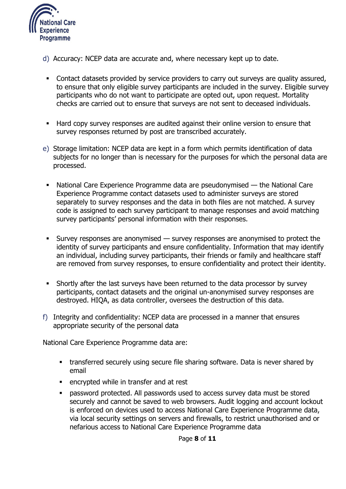

- d) Accuracy: NCEP data are accurate and, where necessary kept up to date.
- Contact datasets provided by service providers to carry out surveys are quality assured, to ensure that only eligible survey participants are included in the survey. Eligible survey participants who do not want to participate are opted out, upon request. Mortality checks are carried out to ensure that surveys are not sent to deceased individuals.
- Hard copy survey responses are audited against their online version to ensure that survey responses returned by post are transcribed accurately.
- e) Storage limitation: NCEP data are kept in a form which permits identification of data subjects for no longer than is necessary for the purposes for which the personal data are processed.
- National Care Experience Programme data are pseudonymised the National Care Experience Programme contact datasets used to administer surveys are stored separately to survey responses and the data in both files are not matched. A survey code is assigned to each survey participant to manage responses and avoid matching survey participants' personal information with their responses.
- Survey responses are anonymised  $-$  survey responses are anonymised to protect the identity of survey participants and ensure confidentiality. Information that may identify an individual, including survey participants, their friends or family and healthcare staff are removed from survey responses, to ensure confidentiality and protect their identity.
- Shortly after the last surveys have been returned to the data processor by survey participants, contact datasets and the original un-anonymised survey responses are destroyed. HIQA, as data controller, oversees the destruction of this data.
- f) Integrity and confidentiality: NCEP data are processed in a manner that ensures appropriate security of the personal data

National Care Experience Programme data are:

- **transferred securely using secure file sharing software. Data is never shared by** email
- **EXECUTED EXECUTED** encrypted while in transfer and at rest
- **•** password protected. All passwords used to access survey data must be stored securely and cannot be saved to web browsers. Audit logging and account lockout is enforced on devices used to access National Care Experience Programme data, via local security settings on servers and firewalls, to restrict unauthorised and or nefarious access to National Care Experience Programme data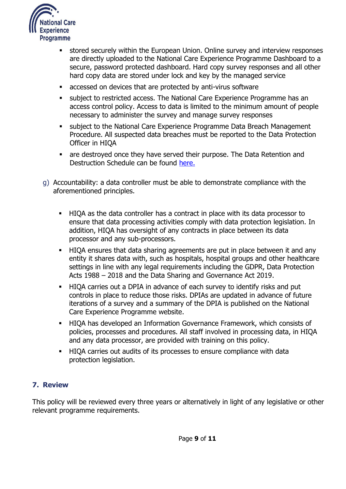

- stored securely within the European Union. Online survey and interview responses are directly uploaded to the National Care Experience Programme Dashboard to a secure, password protected dashboard. Hard copy survey responses and all other hard copy data are stored under lock and key by the managed service
- accessed on devices that are protected by anti-virus software
- subject to restricted access. The National Care Experience Programme has an access control policy. Access to data is limited to the minimum amount of people necessary to administer the survey and manage survey responses
- subject to the National Care Experience Programme Data Breach Management Procedure. All suspected data breaches must be reported to the Data Protection Officer in HIQA
- are destroyed once they have served their purpose. The Data Retention and Destruction Schedule can be found [here.](https://yourexperience.ie/about/information-governance/)
- g) Accountability: a data controller must be able to demonstrate compliance with the aforementioned principles.
	- HIQA as the data controller has a contract in place with its data processor to ensure that data processing activities comply with data protection legislation. In addition, HIQA has oversight of any contracts in place between its data processor and any sub-processors.
	- HIQA ensures that data sharing agreements are put in place between it and any entity it shares data with, such as hospitals, hospital groups and other healthcare settings in line with any legal requirements including the GDPR, Data Protection Acts 1988 – 2018 and the Data Sharing and Governance Act 2019.
	- HIQA carries out a DPIA in advance of each survey to identify risks and put controls in place to reduce those risks. DPIAs are updated in advance of future iterations of a survey and a summary of the DPIA is published on the National Care Experience Programme website.
	- HIQA has developed an Information Governance Framework, which consists of policies, processes and procedures. All staff involved in processing data, in HIQA and any data processor, are provided with training on this policy.
	- HIQA carries out audits of its processes to ensure compliance with data protection legislation.

#### **7. Review**

This policy will be reviewed every three years or alternatively in light of any legislative or other relevant programme requirements.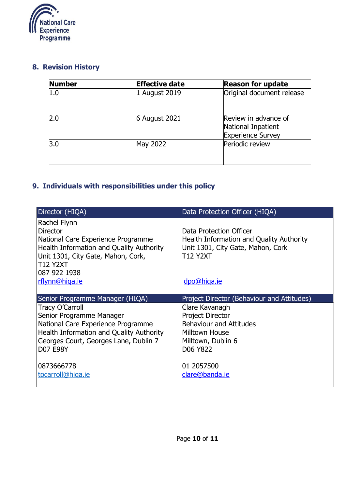

#### **8. Revision History**

| <b>Number</b> | <b>Effective date</b> | <b>Reason for update</b>                                               |
|---------------|-----------------------|------------------------------------------------------------------------|
| 1.0           | 1 August 2019         | Original document release                                              |
| 2.0           | <b>6 August 2021</b>  | Review in advance of<br>National Inpatient<br><b>Experience Survey</b> |
| 3.0           | May 2022              | Periodic review                                                        |

## **9. Individuals with responsibilities under this policy**

| Director (HIQA)                          | Data Protection Officer (HIQA)                  |
|------------------------------------------|-------------------------------------------------|
| Rachel Flynn                             |                                                 |
| <b>Director</b>                          | Data Protection Officer                         |
| National Care Experience Programme       | <b>Health Information and Quality Authority</b> |
| Health Information and Quality Authority | Unit 1301, City Gate, Mahon, Cork               |
| Unit 1301, City Gate, Mahon, Cork,       | <b>T12 Y2XT</b>                                 |
| <b>T12 Y2XT</b>                          |                                                 |
| 087 922 1938                             |                                                 |
| rflynn@higa.ie                           | dpo@higa.ie                                     |
|                                          |                                                 |
|                                          |                                                 |
| Senior Programme Manager (HIQA)          | Project Director (Behaviour and Attitudes)      |
| <b>Tracy O'Carroll</b>                   | Clare Kavanagh                                  |
| Senior Programme Manager                 | <b>Project Director</b>                         |
| National Care Experience Programme       | <b>Behaviour and Attitudes</b>                  |
| Health Information and Quality Authority | Milltown House                                  |
| Georges Court, Georges Lane, Dublin 7    | Milltown, Dublin 6                              |
| <b>D07 E98Y</b>                          | D06 Y822                                        |
|                                          |                                                 |
| 0873666778                               | 01 2057500                                      |
| tocarroll@higa.ie                        | clare@banda.ie                                  |